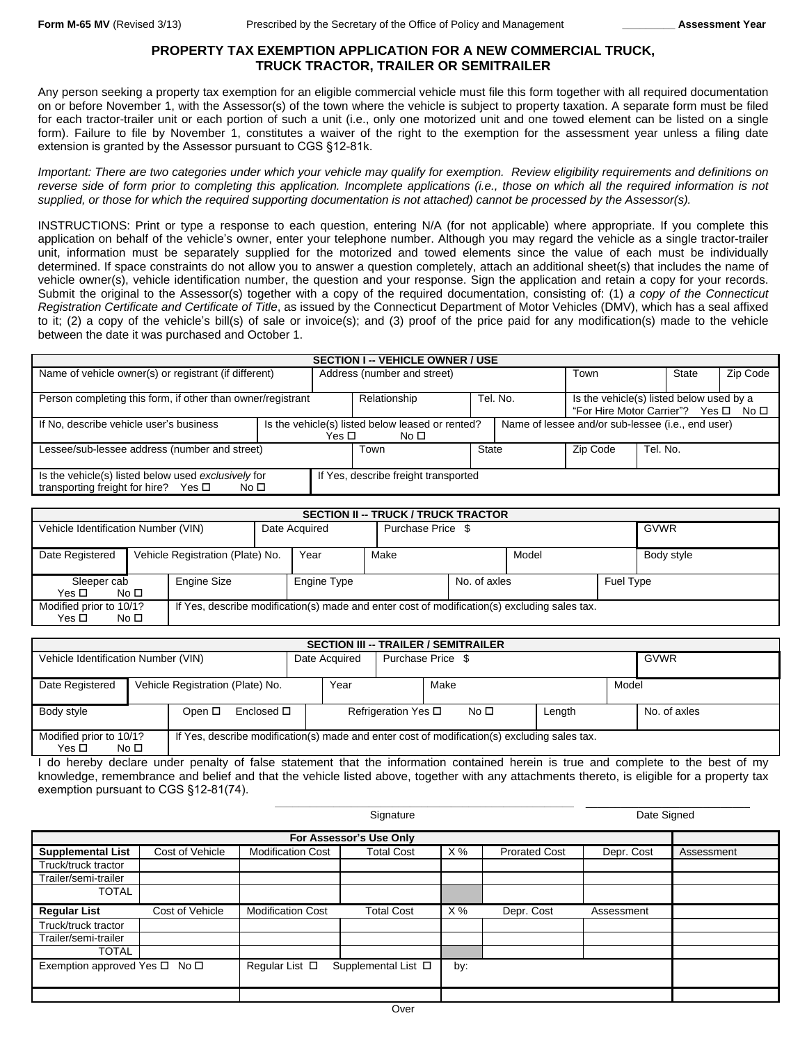# **PROPERTY TAX EXEMPTION APPLICATION FOR A NEW COMMERCIAL TRUCK, TRUCK TRACTOR, TRAILER OR SEMITRAILER**

Any person seeking a property tax exemption for an eligible commercial vehicle must file this form together with all required documentation on or before November 1, with the Assessor(s) of the town where the vehicle is subject to property taxation. A separate form must be filed for each tractor-trailer unit or each portion of such a unit (i.e., only one motorized unit and one towed element can be listed on a single form). Failure to file by November 1, constitutes a waiver of the right to the exemption for the assessment year unless a filing date extension is granted by the Assessor pursuant to CGS §12-81k.

Important: There are two categories under which your vehicle may qualify for exemption. Review eligibility requirements and definitions on reverse side of form prior to completing this application. Incomplete applications (i.e., those on which all the required information is not *supplied, or those for which the required supporting documentation is not attached) cannot be processed by the Assessor(s).*

INSTRUCTIONS: Print or type a response to each question, entering N/A (for not applicable) where appropriate. If you complete this application on behalf of the vehicle's owner, enter your telephone number. Although you may regard the vehicle as a single tractor-trailer unit, information must be separately supplied for the motorized and towed elements since the value of each must be individually determined. If space constraints do not allow you to answer a question completely, attach an additional sheet(s) that includes the name of vehicle owner(s), vehicle identification number, the question and your response. Sign the application and retain a copy for your records. Submit the original to the Assessor(s) together with a copy of the required documentation, consisting of: (1) *a copy of the Connecticut Registration Certificate and Certificate of Title*, as issued by the Connecticut Department of Motor Vehicles (DMV), which has a seal affixed to it; (2) a copy of the vehicle's bill(s) of sale or invoice(s); and (3) proof of the price paid for any modification(s) made to the vehicle between the date it was purchased and October 1.

| <b>SECTION I -- VEHICLE OWNER / USE</b>                         |                                                  |                                      |              |                                      |                                                   |          |  |  |  |  |  |
|-----------------------------------------------------------------|--------------------------------------------------|--------------------------------------|--------------|--------------------------------------|---------------------------------------------------|----------|--|--|--|--|--|
| Name of vehicle owner(s) or registrant (if different)           |                                                  | Address (number and street)          | Town         |                                      | <b>State</b>                                      | Zip Code |  |  |  |  |  |
|                                                                 |                                                  |                                      |              |                                      |                                                   |          |  |  |  |  |  |
| Person completing this form, if other than owner/registrant     |                                                  | Relationship                         |              | Tel. No.                             | Is the vehicle(s) listed below used by a          |          |  |  |  |  |  |
|                                                                 |                                                  |                                      |              | "For Hire Motor Carrier"? Yes □ No □ |                                                   |          |  |  |  |  |  |
| If No, describe vehicle user's business                         | Is the vehicle(s) listed below leased or rented? |                                      |              |                                      | Name of lessee and/or sub-lessee (i.e., end user) |          |  |  |  |  |  |
|                                                                 | Yes □                                            |                                      |              |                                      |                                                   |          |  |  |  |  |  |
| Lessee/sub-lessee address (number and street)                   |                                                  | Town                                 | <b>State</b> |                                      | Zip Code                                          | Tel. No. |  |  |  |  |  |
|                                                                 |                                                  |                                      |              |                                      |                                                   |          |  |  |  |  |  |
| Is the vehicle(s) listed below used exclusively for             |                                                  | If Yes, describe freight transported |              |                                      |                                                   |          |  |  |  |  |  |
| transporting freight for hire? Yes $\square$<br>No <sub>1</sub> |                                                  |                                      |              |                                      |                                                   |          |  |  |  |  |  |

| <b>SECTION II -- TRUCK / TRUCK TRACTOR</b>                                                                                                    |  |                                  |                                          |      |  |                   |  |  |            |             |
|-----------------------------------------------------------------------------------------------------------------------------------------------|--|----------------------------------|------------------------------------------|------|--|-------------------|--|--|------------|-------------|
| Vehicle Identification Number (VIN)                                                                                                           |  |                                  | Date Acquired                            |      |  | Purchase Price \$ |  |  |            | <b>GVWR</b> |
| Date Registered                                                                                                                               |  | Vehicle Registration (Plate) No. |                                          | Year |  | Model<br>Make     |  |  | Body style |             |
| Engine Size<br>Sleeper cab<br>Yes $\Box$<br>No <sub>1</sub>                                                                                   |  |                                  | No. of axles<br>Engine Type<br>Fuel Type |      |  |                   |  |  |            |             |
| Modified prior to 10/1?<br>If Yes, describe modification(s) made and enter cost of modification(s) excluding sales tax.<br>Yes □<br>No $\Box$ |  |                                  |                                          |      |  |                   |  |  |            |             |

| <b>SECTION III -- TRAILER / SEMITRAILER</b>                                                                                                                 |  |  |                                                          |               |                   |  |  |       |              |             |
|-------------------------------------------------------------------------------------------------------------------------------------------------------------|--|--|----------------------------------------------------------|---------------|-------------------|--|--|-------|--------------|-------------|
| Vehicle Identification Number (VIN)                                                                                                                         |  |  |                                                          | Date Acquired | Purchase Price \$ |  |  |       |              | <b>GVWR</b> |
| Date Registered                                                                                                                                             |  |  | Vehicle Registration (Plate) No.<br>Year<br>Make         |               |                   |  |  | Model |              |             |
| Enclosed □<br>Body style<br>Open $\Box$                                                                                                                     |  |  | Refrigeration Yes $\square$<br>No <sub>1</sub><br>Length |               |                   |  |  |       | No. of axles |             |
| Modified prior to 10/1?<br>If Yes, describe modification(s) made and enter cost of modification(s) excluding sales tax.<br>Yes $\square$<br>No <sub>1</sub> |  |  |                                                          |               |                   |  |  |       |              |             |

I do hereby declare under penalty of false statement that the information contained herein is true and complete to the best of my knowledge, remembrance and belief and that the vehicle listed above, together with any attachments thereto, is eligible for a property tax exemption pursuant to CGS §12-81(74).

**\_\_\_\_\_\_\_\_\_\_\_\_\_\_\_\_\_\_\_\_\_\_\_\_\_\_\_\_\_\_\_\_\_\_\_\_\_\_\_\_\_\_\_\_\_\_\_\_\_\_\_** \_\_\_\_\_\_\_\_\_\_\_\_\_\_\_\_\_\_\_\_\_\_\_\_\_\_\_\_

|                               |                 |                          | Date Signed                 |     |                      |            |            |  |
|-------------------------------|-----------------|--------------------------|-----------------------------|-----|----------------------|------------|------------|--|
|                               |                 |                          |                             |     |                      |            |            |  |
| <b>Supplemental List</b>      | Cost of Vehicle | <b>Modification Cost</b> | <b>Total Cost</b>           | X%  | <b>Prorated Cost</b> | Depr. Cost | Assessment |  |
| Truck/truck tractor           |                 |                          |                             |     |                      |            |            |  |
| Trailer/semi-trailer          |                 |                          |                             |     |                      |            |            |  |
| <b>TOTAL</b>                  |                 |                          |                             |     |                      |            |            |  |
| <b>Regular List</b>           | Cost of Vehicle | <b>Modification Cost</b> | Total Cost                  | X % | Depr. Cost           | Assessment |            |  |
| Truck/truck tractor           |                 |                          |                             |     |                      |            |            |  |
| Trailer/semi-trailer          |                 |                          |                             |     |                      |            |            |  |
| <b>TOTAL</b>                  |                 |                          |                             |     |                      |            |            |  |
| Exemption approved Yes □ No □ |                 | Regular List $\square$   | Supplemental List $\square$ | by: |                      |            |            |  |
|                               |                 |                          |                             |     |                      |            |            |  |